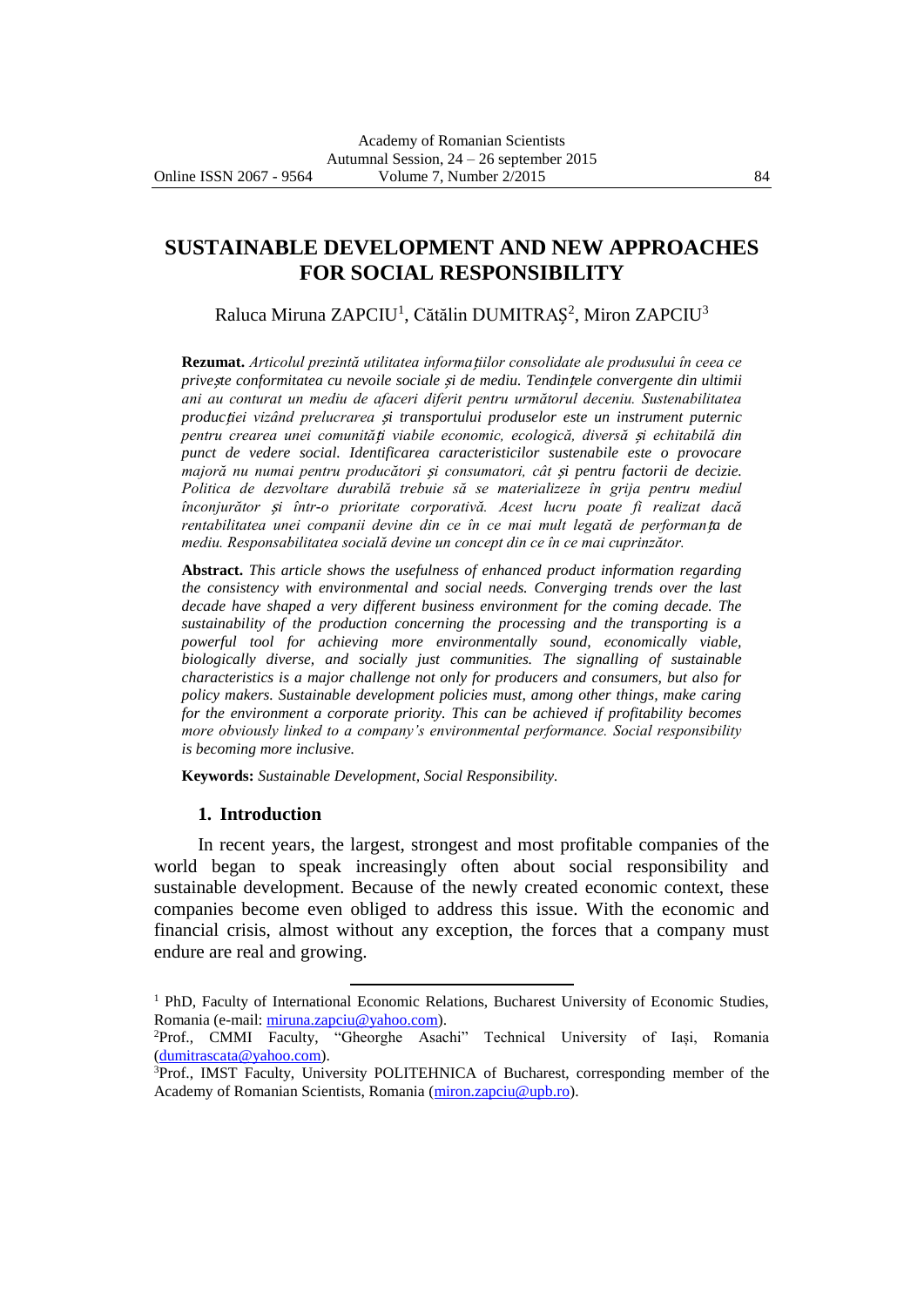# **SUSTAINABLE DEVELOPMENT AND NEW APPROACHES FOR SOCIAL RESPONSIBILITY**

Raluca Miruna ZAPCIU<sup>1</sup>, Cătălin DUMITRAȘ<sup>2</sup>, Miron ZAPCIU<sup>3</sup>

**Rezumat.** *Articolul prezintă utilitatea informa*ț*iilor consolidate ale produsului în ceea ce prive*ș*te conformitatea cu nevoile sociale* ș*i de mediu. Tendin*ț*ele convergente din ultimii ani au conturat un mediu de afaceri diferit pentru următorul deceniu. Sustenabilitatea produc*ț*iei vizând prelucrarea* ș*i transportului produselor este un instrument puternic pentru crearea unei comunită*ț*i viabile economic, ecologică, diversă* ș*i echitabilă din punct de vedere social. Identificarea caracteristicilor sustenabile este o provocare majoră nu numai pentru producători* ș*i consumatori, cât* ș*i pentru factorii de decizie. Politica de dezvoltare durabilă trebuie să se materializeze în grija pentru mediul înconjurător* ș*i într-o prioritate corporativă. Acest lucru poate fi realizat dacă rentabilitatea unei companii devine din ce în ce mai mult legată de performan*ț*a de mediu. Responsabilitatea socială devine un concept din ce în ce mai cuprinzător.*

**Abstract.** *This article shows the usefulness of enhanced product information regarding the consistency with environmental and social needs. Converging trends over the last decade have shaped a very different business environment for the coming decade. The sustainability of the production concerning the processing and the transporting is a powerful tool for achieving more environmentally sound, economically viable, biologically diverse, and socially just communities. The signalling of sustainable characteristics is a major challenge not only for producers and consumers, but also for policy makers. Sustainable development policies must, among other things, make caring for the environment a corporate priority. This can be achieved if profitability becomes more obviously linked to a company's environmental performance. Social responsibility is becoming more inclusive.*

**Keywords:** *Sustainable Development, Social Responsibility.*

 $\overline{a}$ 

#### **1. Introduction**

In recent years, the largest, strongest and most profitable companies of the world began to speak increasingly often about social responsibility and sustainable development. Because of the newly created economic context, these companies become even obliged to address this issue. With the economic and financial crisis, almost without any exception, the forces that a company must endure are real and growing.

 $1$  PhD, Faculty of International Economic Relations, Bucharest University of Economic Studies, Romania (e-mail: [miruna.zapciu@yahoo.com\)](mailto:miruna.zapciu@yahoo.com).

<sup>2</sup>Prof., CMMI Faculty, "Gheorghe Asachi" Technical University of Iași, Romania [\(dumitrascata@yahoo.com\)](mailto:dumitrascata@yahoo.com).

<sup>3</sup>Prof., IMST Faculty, University POLITEHNICA of Bucharest, corresponding member of the Academy of Romanian Scientists, Romania [\(miron.zapciu@upb.ro\)](mailto:miron.zapciu@upb.ro).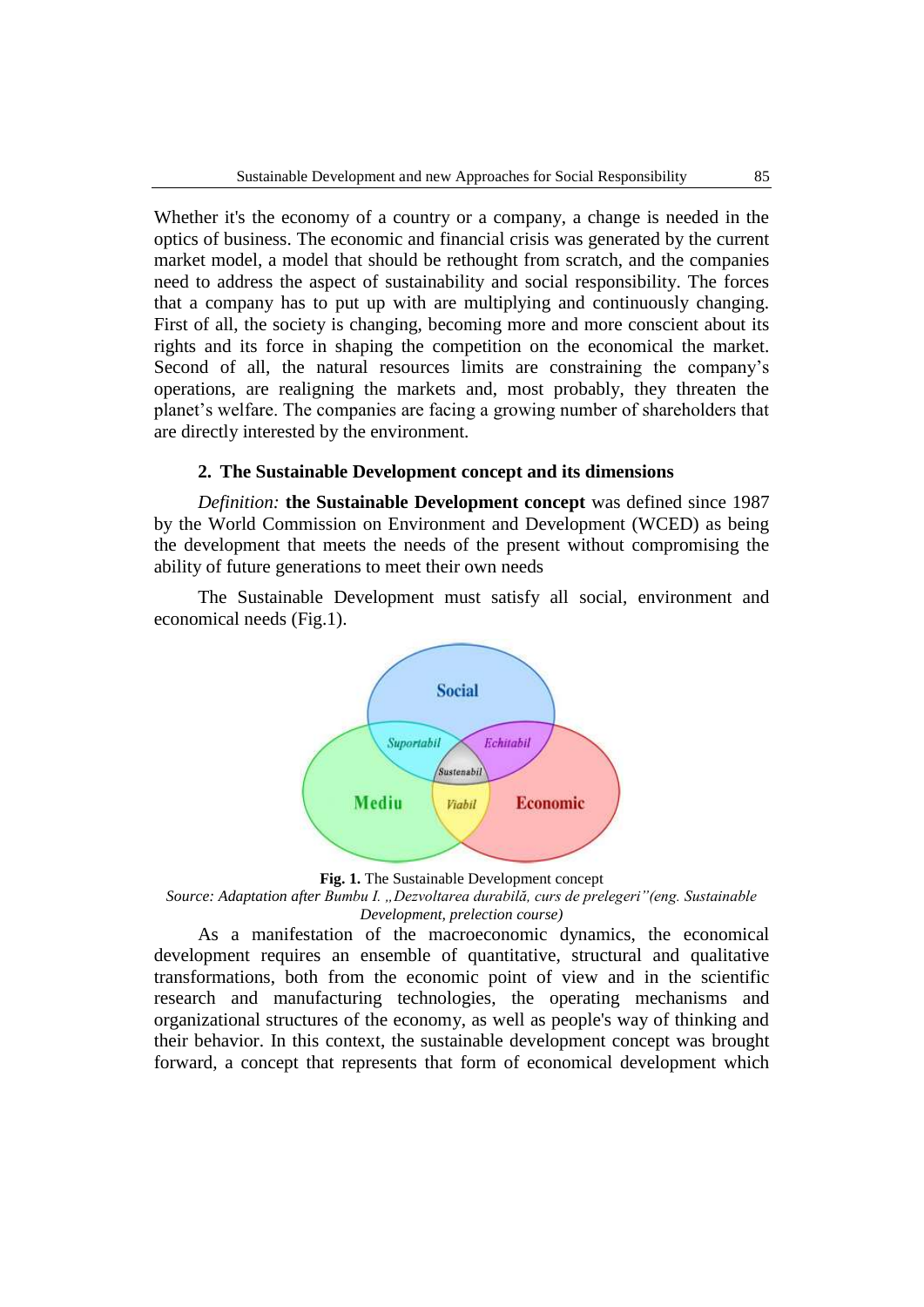Whether it's the economy of a country or a company, a change is needed in the optics of business. The economic and financial crisis was generated by the current market model, a model that should be rethought from scratch, and the companies need to address the aspect of sustainability and social responsibility. The forces that a company has to put up with are multiplying and continuously changing. First of all, the society is changing, becoming more and more conscient about its rights and its force in shaping the competition on the economical the market. Second of all, the natural resources limits are constraining the company's operations, are realigning the markets and, most probably, they threaten the planet's welfare. The companies are facing a growing number of shareholders that are directly interested by the environment.

#### **2. The Sustainable Development concept and its dimensions**

*Definition:* **the Sustainable Development concept** was defined since 1987 by the World Commission on Environment and Development (WCED) as being the development that meets the needs of the present without compromising the ability of future generations to meet their own needs

The Sustainable Development must satisfy all social, environment and economical needs (Fig.1).



**Fig. 1.** The Sustainable Development concept

*Source: Adaptation after Bumbu I. "Dezvoltarea durabilă, curs de prelegeri"(eng. Sustainable Development, prelection course)*

As a manifestation of the macroeconomic dynamics, the economical development requires an ensemble of quantitative, structural and qualitative transformations, both from the economic point of view and in the scientific research and manufacturing technologies, the operating mechanisms and organizational structures of the economy, as well as people's way of thinking and their behavior. In this context, the sustainable development concept was brought forward, a concept that represents that form of economical development which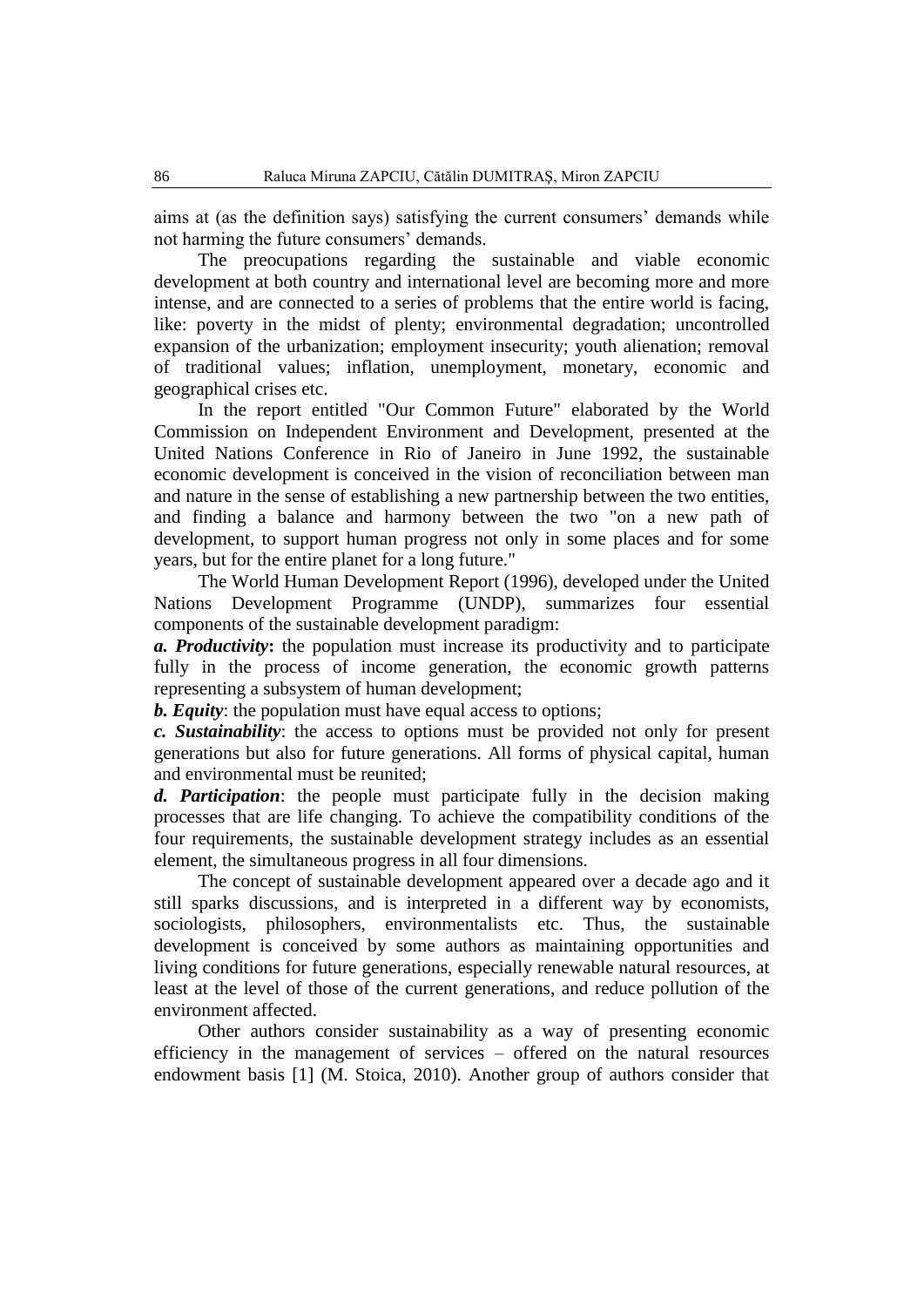aims at (as the definition says) satisfying the current consumers' demands while not harming the future consumers' demands.

The preocupations regarding the sustainable and viable economic development at both country and international level are becoming more and more intense, and are connected to a series of problems that the entire world is facing, like: poverty in the midst of plenty; environmental degradation; uncontrolled expansion of the urbanization; employment insecurity; youth alienation; removal of traditional values; inflation, unemployment, monetary, economic and geographical crises etc.

In the report entitled "Our Common Future" elaborated by the World Commission on Independent Environment and Development, presented at the United Nations Conference in Rio of Janeiro in June 1992, the sustainable economic development is conceived in the vision of reconciliation between man and nature in the sense of establishing a new partnership between the two entities, and finding a balance and harmony between the two "on a new path of development, to support human progress not only in some places and for some years, but for the entire planet for a long future."

The World Human Development Report (1996), developed under the United Nations Development Programme (UNDP), summarizes four essential components of the sustainable development paradigm:

*a. Productivity***:** the population must increase its productivity and to participate fully in the process of income generation, the economic growth patterns representing a subsystem of human development;

*b. Equity*: the population must have equal access to options;

*c. Sustainability*: the access to options must be provided not only for present generations but also for future generations. All forms of physical capital, human and environmental must be reunited;

*d. Participation*: the people must participate fully in the decision making processes that are life changing. To achieve the compatibility conditions of the four requirements, the sustainable development strategy includes as an essential element, the simultaneous progress in all four dimensions.

The concept of sustainable development appeared over a decade ago and it still sparks discussions, and is interpreted in a different way by economists, sociologists, philosophers, environmentalists etc. Thus, the sustainable development is conceived by some authors as maintaining opportunities and living conditions for future generations, especially renewable natural resources, at least at the level of those of the current generations, and reduce pollution of the environment affected.

Other authors consider sustainability as a way of presenting economic efficiency in the management of services – offered on the natural resources endowment basis [1] (M. Stoica, 2010). Another group of authors consider that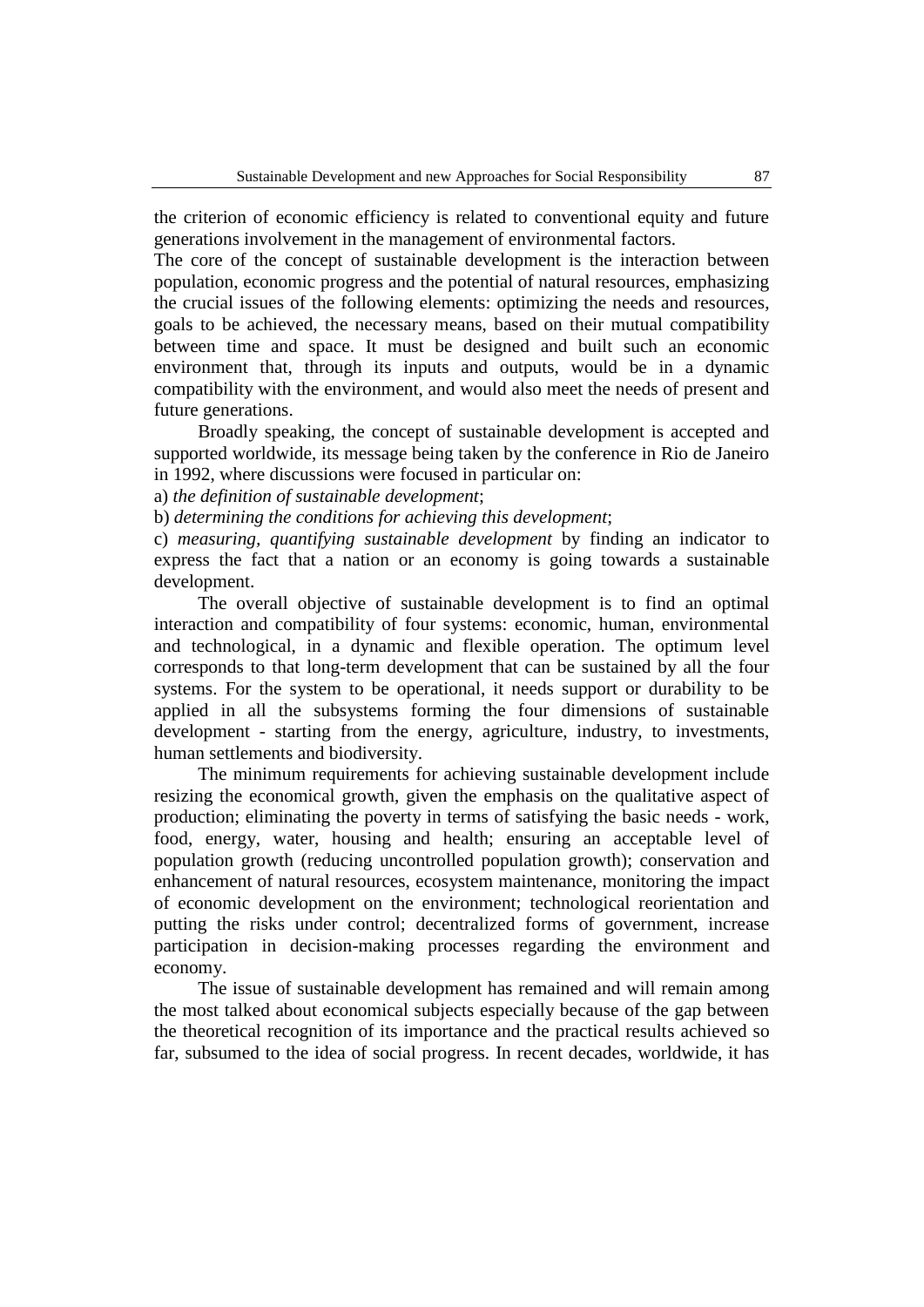the criterion of economic efficiency is related to conventional equity and future generations involvement in the management of environmental factors.

The core of the concept of sustainable development is the interaction between population, economic progress and the potential of natural resources, emphasizing the crucial issues of the following elements: optimizing the needs and resources, goals to be achieved, the necessary means, based on their mutual compatibility between time and space. It must be designed and built such an economic environment that, through its inputs and outputs, would be in a dynamic compatibility with the environment, and would also meet the needs of present and future generations.

Broadly speaking, the concept of sustainable development is accepted and supported worldwide, its message being taken by the conference in Rio de Janeiro in 1992, where discussions were focused in particular on:

a) *the definition of sustainable development*;

b) *determining the conditions for achieving this development*;

c) *measuring, quantifying sustainable development* by finding an indicator to express the fact that a nation or an economy is going towards a sustainable development.

The overall objective of sustainable development is to find an optimal interaction and compatibility of four systems: economic, human, environmental and technological, in a dynamic and flexible operation. The optimum level corresponds to that long-term development that can be sustained by all the four systems. For the system to be operational, it needs support or durability to be applied in all the subsystems forming the four dimensions of sustainable development - starting from the energy, agriculture, industry, to investments, human settlements and biodiversity.

The minimum requirements for achieving sustainable development include resizing the economical growth, given the emphasis on the qualitative aspect of production; eliminating the poverty in terms of satisfying the basic needs - work, food, energy, water, housing and health; ensuring an acceptable level of population growth (reducing uncontrolled population growth); conservation and enhancement of natural resources, ecosystem maintenance, monitoring the impact of economic development on the environment; technological reorientation and putting the risks under control; decentralized forms of government, increase participation in decision-making processes regarding the environment and economy.

The issue of sustainable development has remained and will remain among the most talked about economical subjects especially because of the gap between the theoretical recognition of its importance and the practical results achieved so far, subsumed to the idea of social progress. In recent decades, worldwide, it has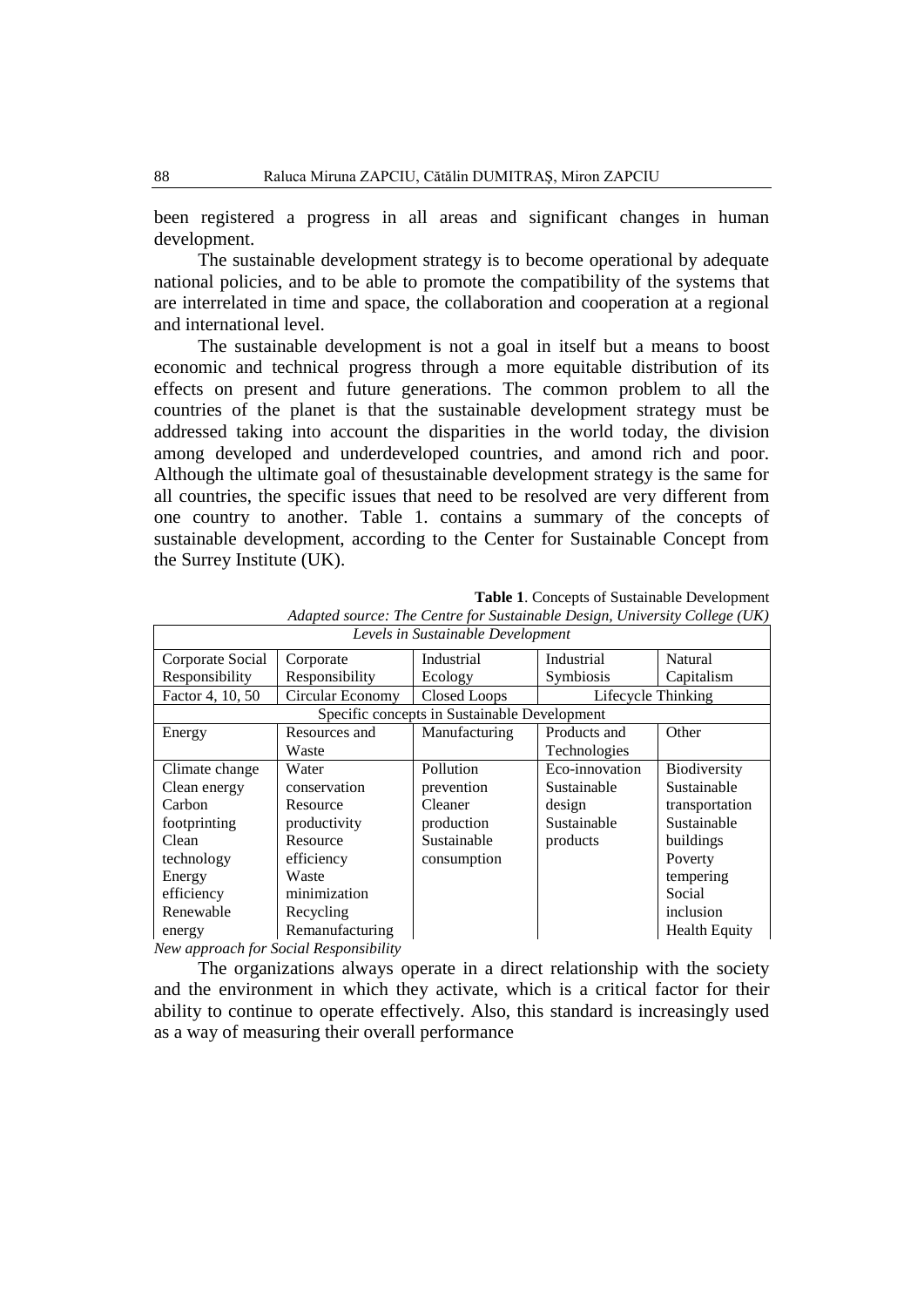been registered a progress in all areas and significant changes in human development.

The sustainable development strategy is to become operational by adequate national policies, and to be able to promote the compatibility of the systems that are interrelated in time and space, the collaboration and cooperation at a regional and international level.

The sustainable development is not a goal in itself but a means to boost economic and technical progress through a more equitable distribution of its effects on present and future generations. The common problem to all the countries of the planet is that the sustainable development strategy must be addressed taking into account the disparities in the world today, the division among developed and underdeveloped countries, and amond rich and poor. Although the ultimate goal of thesustainable development strategy is the same for all countries, the specific issues that need to be resolved are very different from one country to another. Table 1. contains a summary of the concepts of sustainable development, according to the Center for Sustainable Concept from the Surrey Institute (UK).

| Levels in Sustainable Development            |                                       |                     |                    |                      |  |  |
|----------------------------------------------|---------------------------------------|---------------------|--------------------|----------------------|--|--|
| Corporate Social                             | Corporate                             | Industrial          | Industrial         | Natural              |  |  |
| Responsibility                               | Responsibility                        | Ecology             | Symbiosis          | Capitalism           |  |  |
| Factor 4, 10, 50                             | Circular Economy                      | <b>Closed Loops</b> | Lifecycle Thinking |                      |  |  |
| Specific concepts in Sustainable Development |                                       |                     |                    |                      |  |  |
| Energy                                       | Resources and                         | Manufacturing       | Products and       | Other                |  |  |
|                                              | Waste                                 |                     | Technologies       |                      |  |  |
| Climate change                               | Water                                 | Pollution           | Eco-innovation     | Biodiversity         |  |  |
| Clean energy                                 | conservation                          | prevention          | Sustainable        | Sustainable          |  |  |
| Carbon                                       | Resource                              | Cleaner             | design             | transportation       |  |  |
| footprinting                                 | productivity                          | production          | Sustainable        | Sustainable          |  |  |
| Clean                                        | Resource                              | Sustainable         | products           | buildings            |  |  |
| technology                                   | efficiency                            | consumption         |                    | Poverty              |  |  |
| Energy                                       | Waste                                 |                     |                    | tempering            |  |  |
| efficiency                                   | minimization                          |                     |                    | Social               |  |  |
| Renewable                                    | Recycling                             |                     |                    | inclusion            |  |  |
| energy                                       | Remanufacturing                       |                     |                    | <b>Health Equity</b> |  |  |
|                                              | May approach for Social Demonsibility |                     |                    |                      |  |  |

**Table 1**. Concepts of Sustainable Development

*Adapted source: The Centre for Sustainable Design, University College (UK)*

*New approach for Social Responsibility*

The organizations always operate in a direct relationship with the society and the environment in which they activate, which is a critical factor for their ability to continue to operate effectively. Also, this standard is increasingly used as a way of measuring their overall performance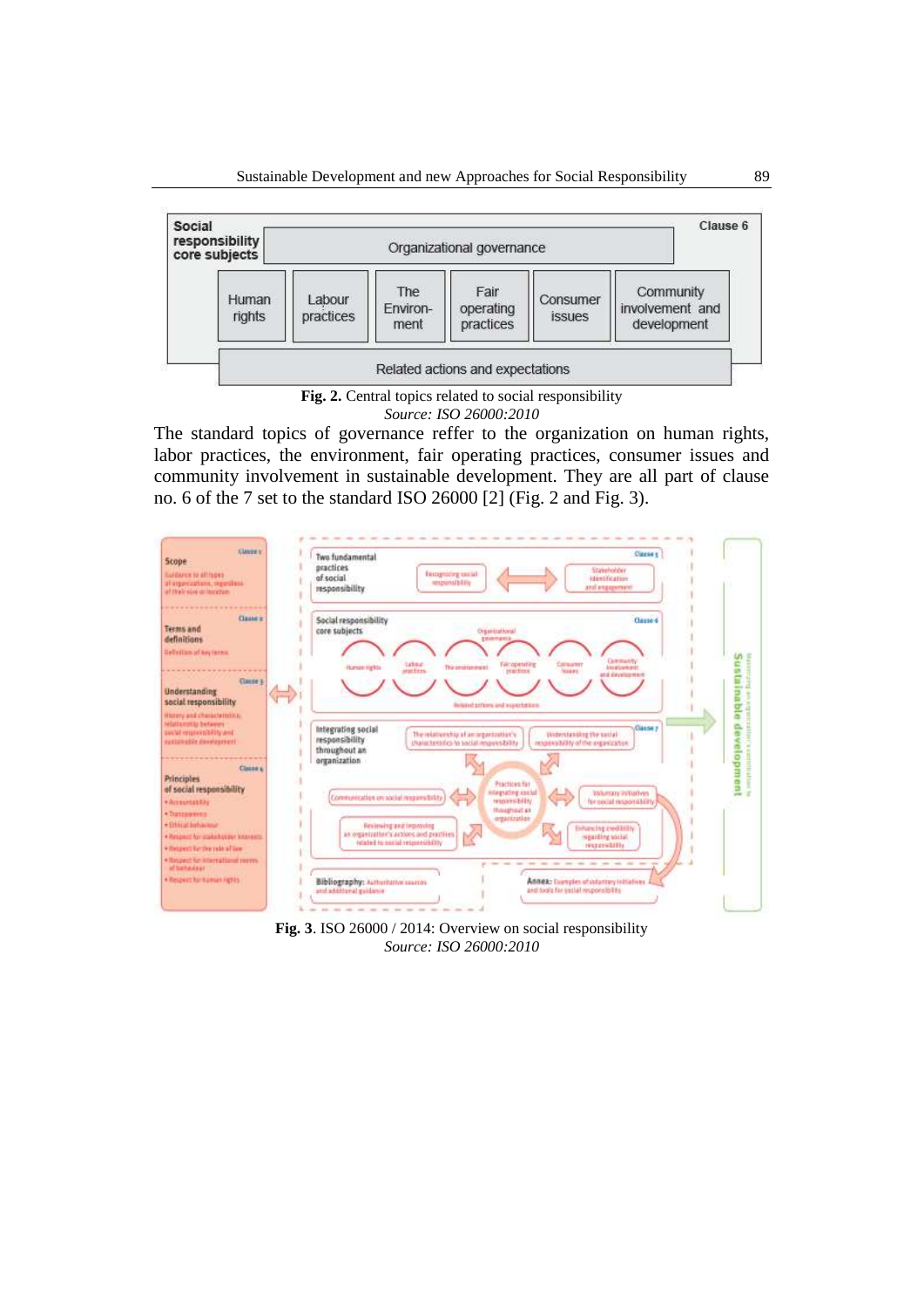

**Fig. 2.** Central topics related to social responsibility *Source: ISO 26000:2010*

The standard topics of governance reffer to the organization on human rights, labor practices, the environment, fair operating practices, consumer issues and community involvement in sustainable development. They are all part of clause no. 6 of the 7 set to the standard ISO 26000 [2] (Fig. 2 and Fig. 3).



**Fig. 3**. ISO 26000 / 2014: Overview on social responsibility *Source: ISO 26000:2010*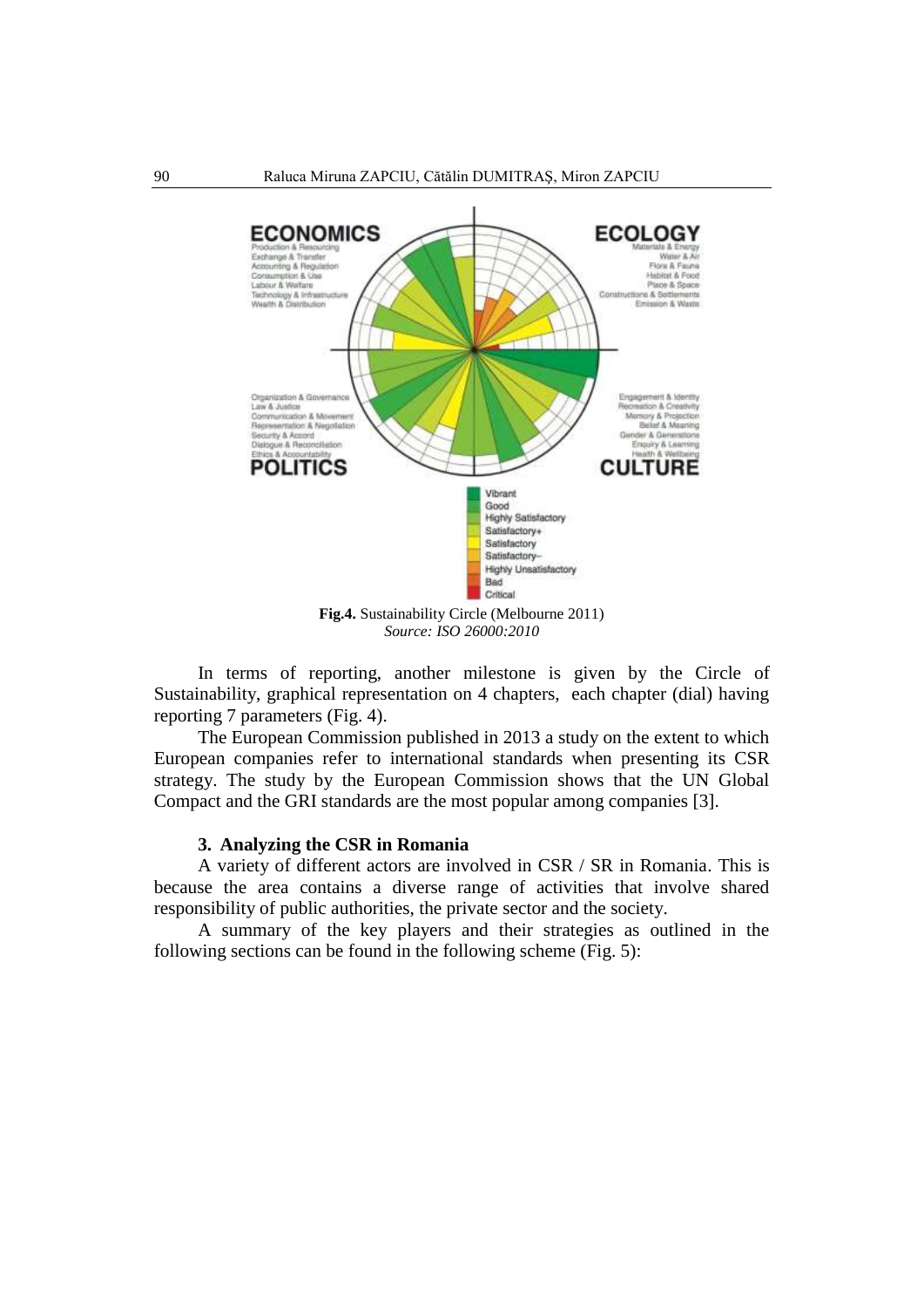

In terms of reporting, another milestone is given by the Circle of Sustainability, graphical representation on 4 chapters, each chapter (dial) having reporting 7 parameters (Fig. 4).

The European Commission published in 2013 a study on the extent to which European companies refer to international standards when presenting its CSR strategy. The study by the European Commission shows that the UN Global Compact and the GRI standards are the most popular among companies [3].

#### **3. Analyzing the CSR in Romania**

A variety of different actors are involved in CSR / SR in Romania. This is because the area contains a diverse range of activities that involve shared responsibility of public authorities, the private sector and the society.

A summary of the key players and their strategies as outlined in the following sections can be found in the following scheme (Fig. 5):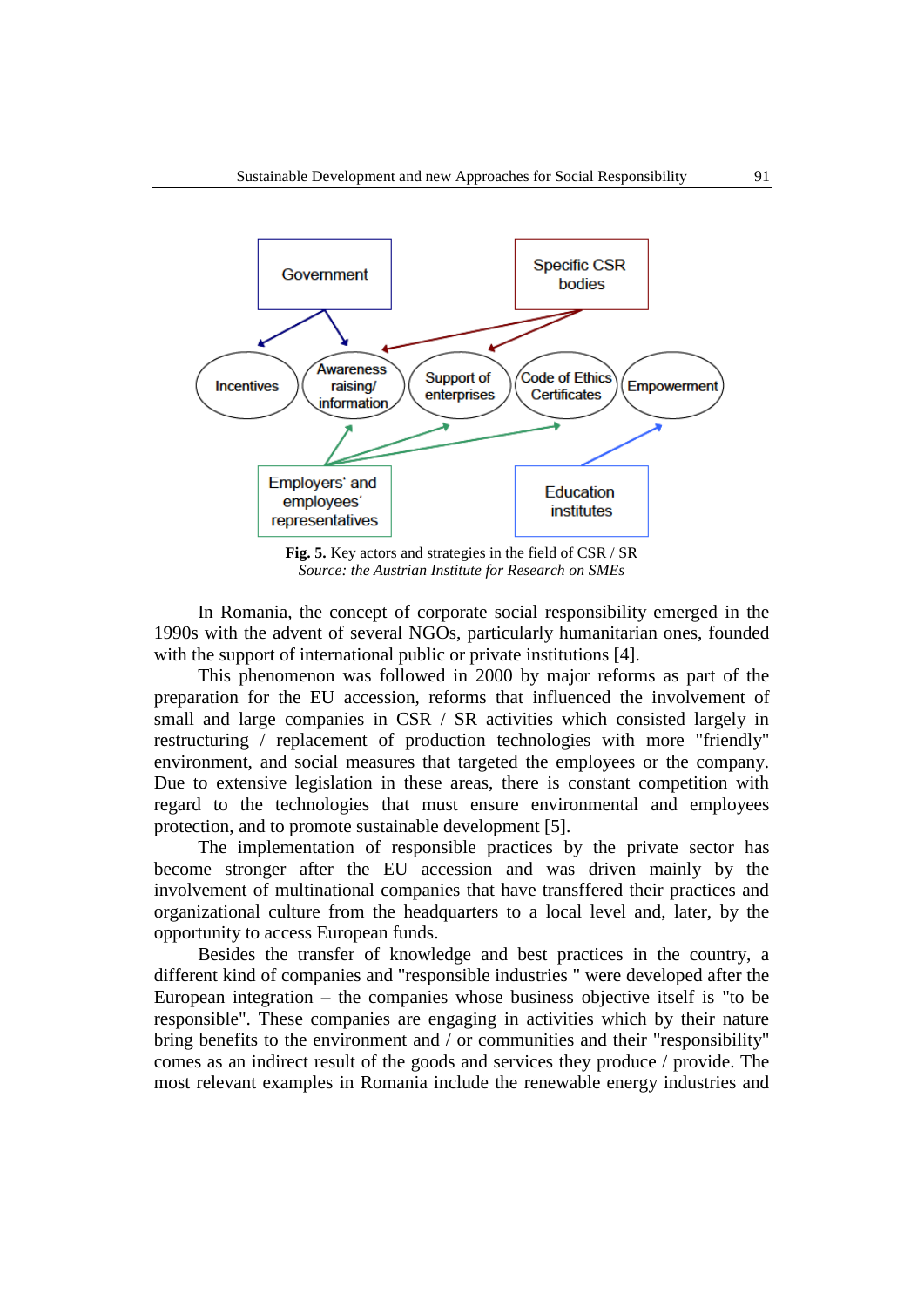

**Fig. 5.** Key actors and strategies in the field of CSR / SR *Source: the Austrian Institute for Research on SMEs*

In Romania, the concept of corporate social responsibility emerged in the 1990s with the advent of several NGOs, particularly humanitarian ones, founded with the support of international public or private institutions [4].

This phenomenon was followed in 2000 by major reforms as part of the preparation for the EU accession, reforms that influenced the involvement of small and large companies in CSR / SR activities which consisted largely in restructuring / replacement of production technologies with more "friendly" environment, and social measures that targeted the employees or the company. Due to extensive legislation in these areas, there is constant competition with regard to the technologies that must ensure environmental and employees protection, and to promote sustainable development [5].

The implementation of responsible practices by the private sector has become stronger after the EU accession and was driven mainly by the involvement of multinational companies that have transffered their practices and organizational culture from the headquarters to a local level and, later, by the opportunity to access European funds.

Besides the transfer of knowledge and best practices in the country, a different kind of companies and "responsible industries " were developed after the European integration – the companies whose business objective itself is "to be responsible". These companies are engaging in activities which by their nature bring benefits to the environment and / or communities and their "responsibility" comes as an indirect result of the goods and services they produce / provide. The most relevant examples in Romania include the renewable energy industries and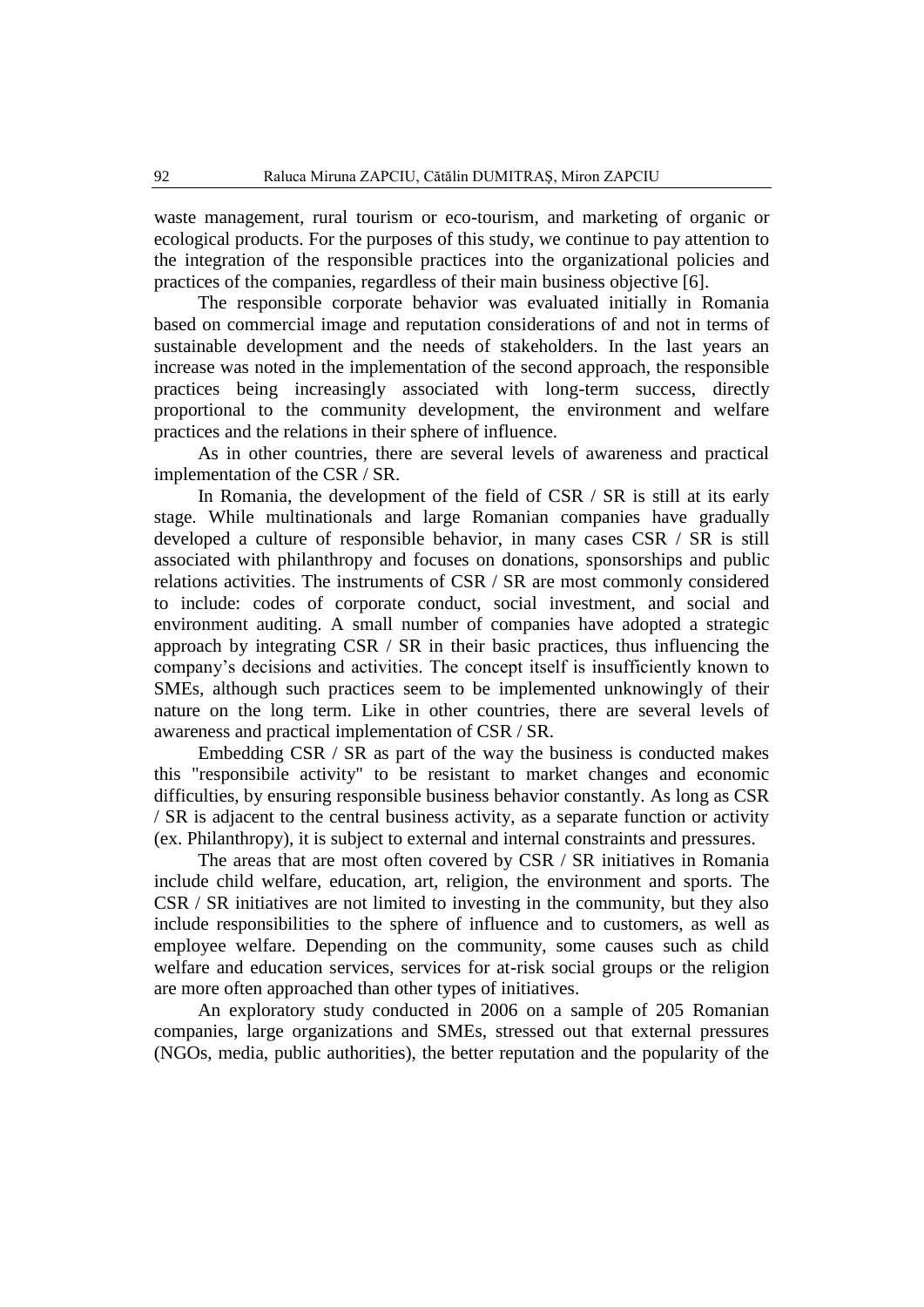waste management, rural tourism or eco-tourism, and marketing of organic or ecological products. For the purposes of this study, we continue to pay attention to the integration of the responsible practices into the organizational policies and practices of the companies, regardless of their main business objective [6].

The responsible corporate behavior was evaluated initially in Romania based on commercial image and reputation considerations of and not in terms of sustainable development and the needs of stakeholders. In the last years an increase was noted in the implementation of the second approach, the responsible practices being increasingly associated with long-term success, directly proportional to the community development, the environment and welfare practices and the relations in their sphere of influence.

As in other countries, there are several levels of awareness and practical implementation of the CSR / SR.

In Romania, the development of the field of CSR / SR is still at its early stage. While multinationals and large Romanian companies have gradually developed a culture of responsible behavior, in many cases CSR / SR is still associated with philanthropy and focuses on donations, sponsorships and public relations activities. The instruments of CSR / SR are most commonly considered to include: codes of corporate conduct, social investment, and social and environment auditing. A small number of companies have adopted a strategic approach by integrating CSR / SR in their basic practices, thus influencing the company's decisions and activities. The concept itself is insufficiently known to SMEs, although such practices seem to be implemented unknowingly of their nature on the long term. Like in other countries, there are several levels of awareness and practical implementation of CSR / SR.

Embedding CSR / SR as part of the way the business is conducted makes this "responsibile activity" to be resistant to market changes and economic difficulties, by ensuring responsible business behavior constantly. As long as CSR / SR is adjacent to the central business activity, as a separate function or activity (ex. Philanthropy), it is subject to external and internal constraints and pressures.

The areas that are most often covered by CSR / SR initiatives in Romania include child welfare, education, art, religion, the environment and sports. The CSR / SR initiatives are not limited to investing in the community, but they also include responsibilities to the sphere of influence and to customers, as well as employee welfare. Depending on the community, some causes such as child welfare and education services, services for at-risk social groups or the religion are more often approached than other types of initiatives.

An exploratory study conducted in 2006 on a sample of 205 Romanian companies, large organizations and SMEs, stressed out that external pressures (NGOs, media, public authorities), the better reputation and the popularity of the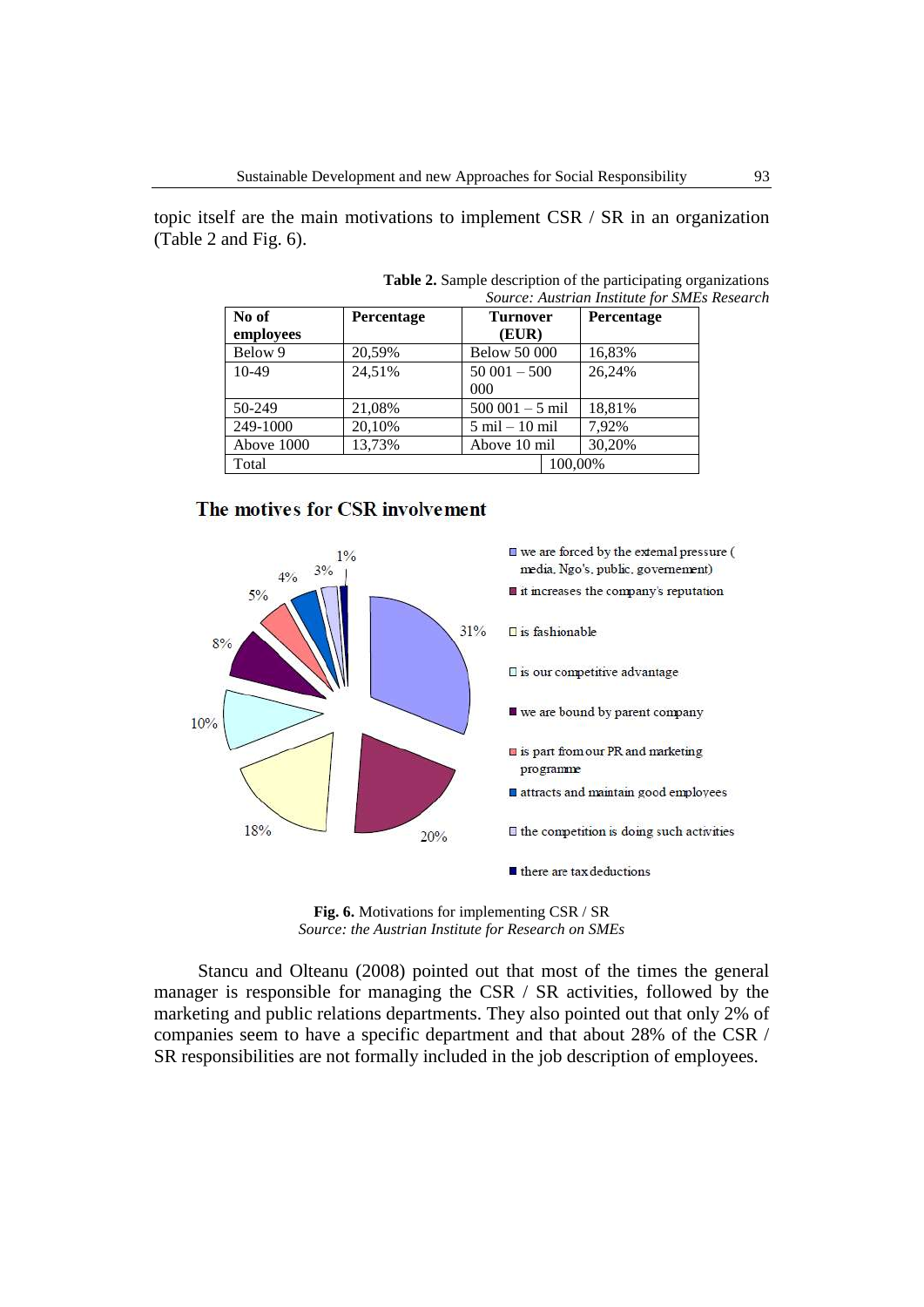topic itself are the main motivations to implement CSR / SR in an organization (Table 2 and Fig. 6).

| No of      | Percentage | <b>Turnover</b>                  | Percentage |
|------------|------------|----------------------------------|------------|
| employees  |            | (EUR)                            |            |
| Below 9    | 20,59%     | <b>Below 50 000</b>              | 16,83%     |
| $10-49$    | 24,51%     | $50001 - 500$                    | 26,24%     |
|            |            | $000 \,$                         |            |
| $50-249$   | 21,08%     | $500001 - 5$ mil                 | 18,81%     |
| 249-1000   | 20,10%     | $5 \text{ mil} - 10 \text{ mil}$ | 7,92%      |
| Above 1000 | 13,73%     | Above 10 mil                     | 30,20%     |
| Total      |            | 100.00%                          |            |

**Table 2.** Sample description of the participating organizations *Source: Austrian Institute for SMEs Research* 

### The motives for CSR involvement



**Fig. 6.** Motivations for implementing CSR / SR *Source: the Austrian Institute for Research on SMEs*

Stancu and Olteanu (2008) pointed out that most of the times the general manager is responsible for managing the CSR / SR activities, followed by the marketing and public relations departments. They also pointed out that only 2% of companies seem to have a specific department and that about 28% of the CSR / SR responsibilities are not formally included in the job description of employees.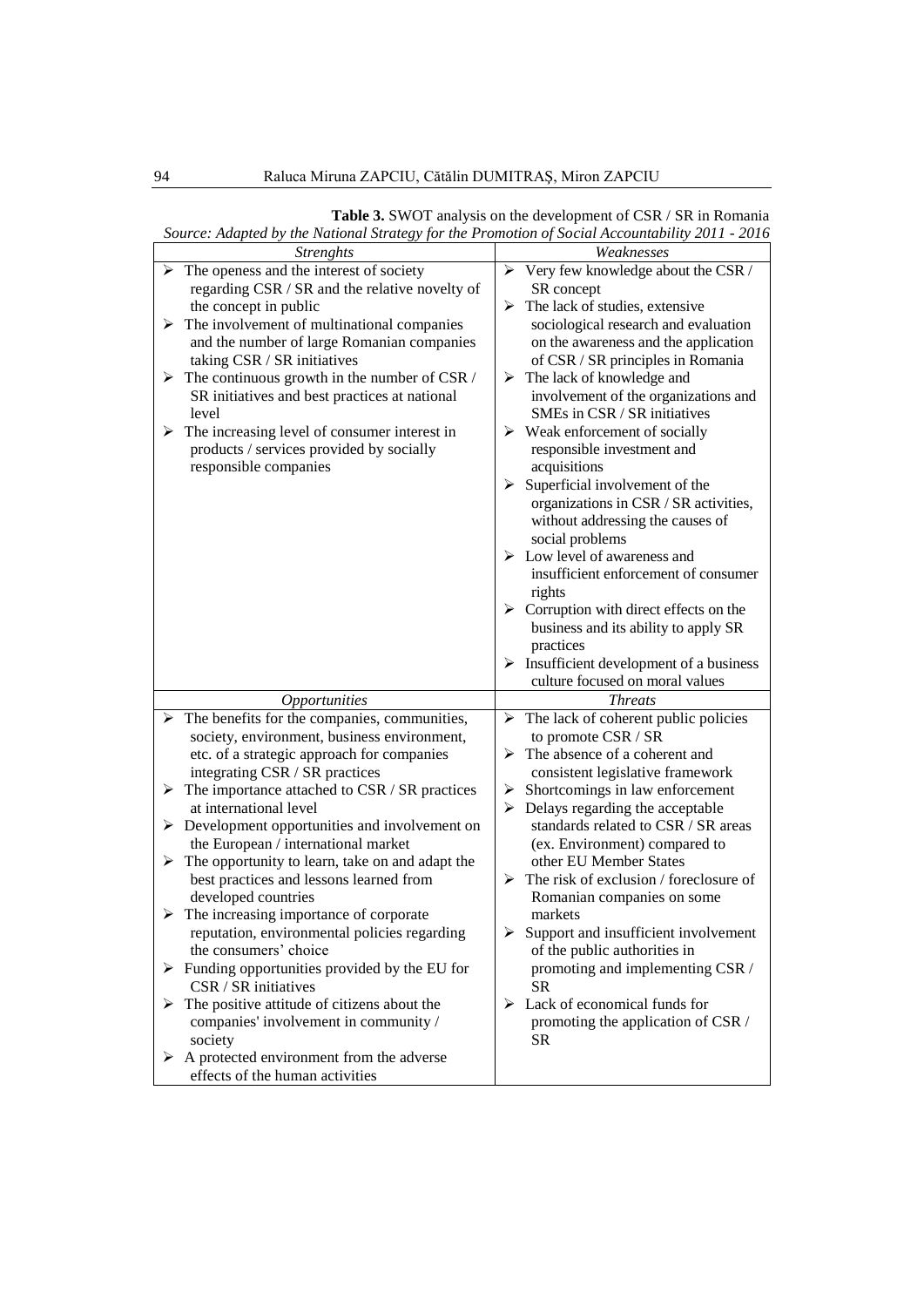|   | the Franchia Britancky for the 1 Following Boetan Hecountabling |                                                         |
|---|-----------------------------------------------------------------|---------------------------------------------------------|
|   | <b>Strenghts</b>                                                | Weaknesses                                              |
|   | $\triangleright$ The openess and the interest of society        | $\triangleright$ Very few knowledge about the CSR /     |
|   | regarding CSR / SR and the relative novelty of                  | SR concept                                              |
|   | the concept in public                                           | $\triangleright$ The lack of studies, extensive         |
|   | $\triangleright$ The involvement of multinational companies     | sociological research and evaluation                    |
|   | and the number of large Romanian companies                      | on the awareness and the application                    |
|   | taking CSR / SR initiatives                                     | of CSR / SR principles in Romania                       |
|   | $\triangleright$ The continuous growth in the number of CSR /   | $\triangleright$ The lack of knowledge and              |
|   | SR initiatives and best practices at national                   | involvement of the organizations and                    |
|   | level                                                           | SMEs in CSR / SR initiatives                            |
|   |                                                                 |                                                         |
|   | $\triangleright$ The increasing level of consumer interest in   | $\triangleright$ Weak enforcement of socially           |
|   | products / services provided by socially                        | responsible investment and                              |
|   | responsible companies                                           | acquisitions                                            |
|   |                                                                 | $\triangleright$ Superficial involvement of the         |
|   |                                                                 | organizations in CSR / SR activities,                   |
|   |                                                                 | without addressing the causes of                        |
|   |                                                                 | social problems                                         |
|   |                                                                 | $\triangleright$ Low level of awareness and             |
|   |                                                                 | insufficient enforcement of consumer                    |
|   |                                                                 | rights                                                  |
|   |                                                                 | $\triangleright$ Corruption with direct effects on the  |
|   |                                                                 | business and its ability to apply SR                    |
|   |                                                                 | practices                                               |
|   |                                                                 |                                                         |
|   |                                                                 |                                                         |
|   |                                                                 | $\triangleright$ Insufficient development of a business |
|   |                                                                 | culture focused on moral values                         |
|   | <b>Opportunities</b>                                            | <b>Threats</b>                                          |
|   | $\triangleright$ The benefits for the companies, communities,   | $\triangleright$ The lack of coherent public policies   |
|   | society, environment, business environment,                     | to promote CSR / SR                                     |
|   | etc. of a strategic approach for companies                      | $\triangleright$ The absence of a coherent and          |
|   | integrating CSR / SR practices                                  | consistent legislative framework                        |
| ➤ | The importance attached to CSR / SR practices                   | $\triangleright$ Shortcomings in law enforcement        |
|   | at international level                                          | $\triangleright$ Delays regarding the acceptable        |
|   | $\triangleright$ Development opportunities and involvement on   | standards related to CSR / SR areas                     |
|   | the European / international market                             | (ex. Environment) compared to                           |
| ➤ | The opportunity to learn, take on and adapt the                 | other EU Member States                                  |
|   | best practices and lessons learned from                         | $\triangleright$ The risk of exclusion / foreclosure of |
|   | developed countries                                             | Romanian companies on some                              |
|   | $\triangleright$ The increasing importance of corporate         | markets                                                 |
|   | reputation, environmental policies regarding                    | $\triangleright$ Support and insufficient involvement   |
|   | the consumers' choice                                           | of the public authorities in                            |
|   | $\triangleright$ Funding opportunities provided by the EU for   | promoting and implementing CSR /                        |
|   | CSR / SR initiatives                                            | <b>SR</b>                                               |
| ➤ | The positive attitude of citizens about the                     | $\triangleright$ Lack of economical funds for           |
|   | companies' involvement in community /                           | promoting the application of CSR /                      |
|   | society                                                         | SR                                                      |
|   | $\triangleright$ A protected environment from the adverse       |                                                         |

**Table 3.** SWOT analysis on the development of CSR / SR in Romania *Source: Adapted by the National Strategy for the Promotion of Social Accountability 2011 - 2016*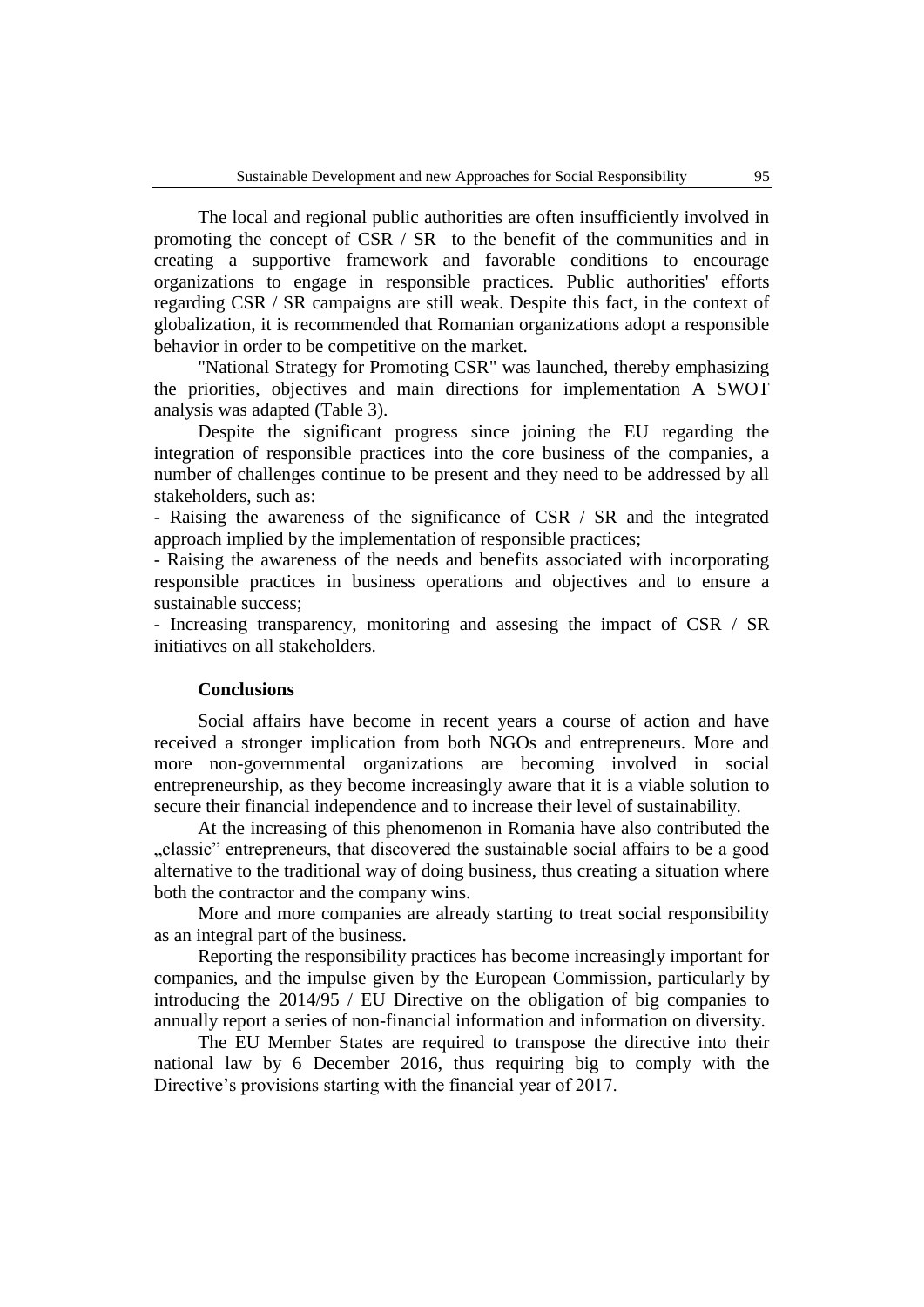The local and regional public authorities are often insufficiently involved in promoting the concept of CSR / SR to the benefit of the communities and in creating a supportive framework and favorable conditions to encourage organizations to engage in responsible practices. Public authorities' efforts regarding CSR / SR campaigns are still weak. Despite this fact, in the context of globalization, it is recommended that Romanian organizations adopt a responsible behavior in order to be competitive on the market.

"National Strategy for Promoting CSR" was launched, thereby emphasizing the priorities, objectives and main directions for implementation A SWOT analysis was adapted (Table 3).

Despite the significant progress since joining the EU regarding the integration of responsible practices into the core business of the companies, a number of challenges continue to be present and they need to be addressed by all stakeholders, such as:

- Raising the awareness of the significance of CSR / SR and the integrated approach implied by the implementation of responsible practices;

- Raising the awareness of the needs and benefits associated with incorporating responsible practices in business operations and objectives and to ensure a sustainable success:

- Increasing transparency, monitoring and assesing the impact of CSR / SR initiatives on all stakeholders.

## **Conclusions**

Social affairs have become in recent years a course of action and have received a stronger implication from both NGOs and entrepreneurs. More and more non-governmental organizations are becoming involved in social entrepreneurship, as they become increasingly aware that it is a viable solution to secure their financial independence and to increase their level of sustainability.

At the increasing of this phenomenon in Romania have also contributed the ", classic" entrepreneurs, that discovered the sustainable social affairs to be a good alternative to the traditional way of doing business, thus creating a situation where both the contractor and the company wins.

More and more companies are already starting to treat social responsibility as an integral part of the business.

Reporting the responsibility practices has become increasingly important for companies, and the impulse given by the European Commission, particularly by introducing the 2014/95 / EU Directive on the obligation of big companies to annually report a series of non-financial information and information on diversity.

The EU Member States are required to transpose the directive into their national law by 6 December 2016, thus requiring big to comply with the Directive's provisions starting with the financial year of 2017.